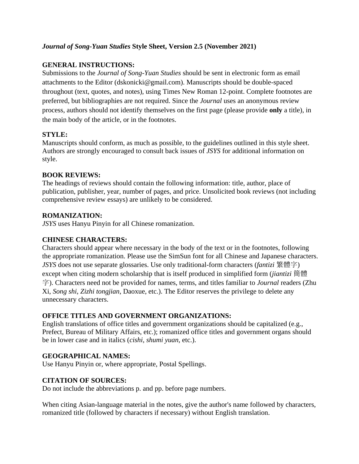# *Journal of Song-Yuan Studies* **Style Sheet, Version 2.5 (November 2021)**

# **GENERAL INSTRUCTIONS:**

Submissions to the *Journal of Song-Yuan Studies* should be sent in electronic form as email attachments to the Editor (dskonicki@gmail.com). Manuscripts should be double-spaced throughout (text, quotes, and notes), using Times New Roman 12-point. Complete footnotes are preferred, but bibliographies are not required. Since the *Journal* uses an anonymous review process, authors should not identify themselves on the first page (please provide **only** a title), in the main body of the article, or in the footnotes.

## **STYLE:**

Manuscripts should conform, as much as possible, to the guidelines outlined in this style sheet. Authors are strongly encouraged to consult back issues of *JSYS* for additional information on style.

## **BOOK REVIEWS:**

The headings of reviews should contain the following information: title, author, place of publication, publisher, year, number of pages, and price. Unsolicited book reviews (not including comprehensive review essays) are unlikely to be considered.

## **ROMANIZATION:**

*JSYS* uses Hanyu Pinyin for all Chinese romanization.

## **CHINESE CHARACTERS:**

Characters should appear where necessary in the body of the text or in the footnotes, following the appropriate romanization. Please use the SimSun font for all Chinese and Japanese characters. *JSYS* does not use separate glossaries. Use only traditional-form characters (*fantizi* 繁體字) except when citing modern scholarship that is itself produced in simplified form (*jiantizi* 簡體 字). Characters need not be provided for names, terms, and titles familiar to *Journal* readers (Zhu Xi, *Song shi*, *Zizhi tongjian*, Daoxue, etc.). The Editor reserves the privilege to delete any unnecessary characters.

## **OFFICE TITLES AND GOVERNMENT ORGANIZATIONS:**

English translations of office titles and government organizations should be capitalized (e.g., Prefect, Bureau of Military Affairs, etc.); romanized office titles and government organs should be in lower case and in italics (*cishi*, *shumi yuan*, etc.).

## **GEOGRAPHICAL NAMES:**

Use Hanyu Pinyin or, where appropriate, Postal Spellings.

## **CITATION OF SOURCES:**

Do not include the abbreviations p. and pp. before page numbers.

When citing Asian-language material in the notes, give the author's name followed by characters, romanized title (followed by characters if necessary) without English translation.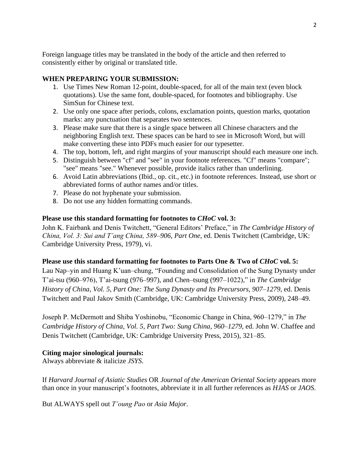Foreign language titles may be translated in the body of the article and then referred to consistently either by original or translated title.

# **WHEN PREPARING YOUR SUBMISSION:**

- 1. Use Times New Roman 12-point, double-spaced, for all of the main text (even block quotations). Use the same font, double-spaced, for footnotes and bibliography. Use SimSun for Chinese text.
- 2. Use only one space after periods, colons, exclamation points, question marks, quotation marks: any punctuation that separates two sentences.
- 3. Please make sure that there is a single space between all Chinese characters and the neighboring English text. These spaces can be hard to see in Microsoft Word, but will make converting these into PDFs much easier for our typesetter.
- 4. The top, bottom, left, and right margins of your manuscript should each measure one inch.
- 5. Distinguish between "cf" and "see" in your footnote references. "Cf" means "compare"; "see" means "see." Whenever possible, provide italics rather than underlining.
- 6. Avoid Latin abbreviations (Ibid., op. cit., etc.) in footnote references. Instead, use short or abbreviated forms of author names and/or titles.
- 7. Please do not hyphenate your submission.
- 8. Do not use any hidden formatting commands.

## **Please use this standard formatting for footnotes to** *CHoC* **vol. 3:**

John K. Fairbank and Denis Twitchett, "General Editors' Preface," in *The Cambridge History of China, Vol. 3: Sui and T'ang China, 589–906, Part One*, ed. Denis Twitchett (Cambridge, UK: Cambridge University Press, 1979), vi.

## **Please use this standard formatting for footnotes to Parts One & Two of** *CHoC* **vol. 5:**

Lau Nap–yin and Huang K'uan–chung, "Founding and Consolidation of the Sung Dynasty under T'ai-tsu (960–976), T'ai-tsung (976–997), and Chen–tsung (997–1022)," in *The Cambridge History of China, Vol. 5, Part One: The Sung Dynasty and Its Precursors, 907–1279*, ed. Denis Twitchett and Paul Jakov Smith (Cambridge, UK: Cambridge University Press, 2009), 248–49.

Joseph P. McDermott and Shiba Yoshinobu, "Economic Change in China, 960–1279," in *The Cambridge History of China*, *Vol. 5, Part Two: Sung China, 960–1279*, ed. John W. Chaffee and Denis Twitchett (Cambridge, UK: Cambridge University Press, 2015), 321–85.

## **Citing major sinological journals:**

Always abbreviate & italicize *JSYS*.

If *Harvard Journal of Asiatic Studies* OR *Journal of the American Oriental Society* appears more than once in your manuscript's footnotes, abbreviate it in all further references as *HJAS* or *JAOS*.

But ALWAYS spell out *T'oung Pao* or *Asia Major*.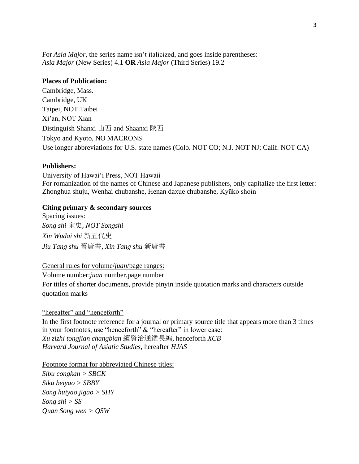For *Asia Major*, the series name isn't italicized, and goes inside parentheses: *Asia Major* (New Series) 4.1 **OR** *Asia Major* (Third Series) 19.2

## **Places of Publication:**

Cambridge, Mass. Cambridge, UK Taipei, NOT Taibei Xi'an, NOT Xian Distinguish Shanxi 山西 and Shaanxi 陝西 Tokyo and Kyoto, NO MACRONS Use longer abbreviations for U.S. state names (Colo. NOT CO; N.J. NOT NJ; Calif. NOT CA)

### **Publishers:**

University of Hawai'i Press, NOT Hawaii For romanization of the names of Chinese and Japanese publishers, only capitalize the first letter: Zhonghua shuju, Wenhai chubanshe, Henan daxue chubanshe, Kyūko shoin

## **Citing primary & secondary sources**

Spacing issues: *Song shi* 宋史*, NOT Songshi Xin Wudai shi* 新五代史 *Jiu Tang shu* 舊唐書, *Xin Tang shu* 新唐書

### General rules for volume/*juan*/page ranges:

Volume number:*juan* number.page number

For titles of shorter documents, provide pinyin inside quotation marks and characters outside quotation marks

## "hereafter" and "henceforth"

In the first footnote reference for a journal or primary source title that appears more than 3 times in your footnotes, use "henceforth" & "hereafter" in lower case: *Xu zizhi tongjian changbian* 續資治通鑑長編, henceforth *XCB Harvard Journal of Asiatic Studies,* hereafter *HJAS*

Footnote format for abbreviated Chinese titles:

*Sibu congkan > SBCK Siku beiyao > SBBY Song huiyao jigao > SHY Song shi > SS Quan Song wen > QSW*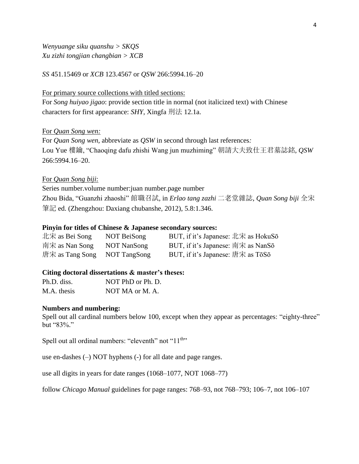*Wenyuange siku quanshu > SKQS Xu zizhi tongjian changbian > XCB*

*SS* 451.15469 or *XCB* 123.4567 or *QSW* 266:5994.16–20

For primary source collections with titled sections:

For *Song huiyao jigao*: provide section title in normal (not italicized text) with Chinese characters for first appearance: *SHY*, Xingfa 刑法 12.1a.

#### For *Quan Song wen:*

For *Quan Song wen*, abbreviate as *QSW* in second through last references*:*  Lou Yue 樓鑰, "Chaoqing dafu zhishi Wang jun muzhiming" 朝請大夫致仕王君墓誌銘, *QSW* 266:5994.16–20.

#### For *Quan Song biji*:

Series number.volume number:juan number.page number Zhou Bida, "Guanzhi zhaoshi" 館職召試, in *Erlao tang zazhi* 二老堂雜誌, *Quan Song biji* 全宋 筆記 ed. (Zhengzhou: Daxiang chubanshe, 2012), 5.8:1.346.

#### **Pinyin for titles of Chinese & Japanese secondary sources:**

| 北宋 as Bei Song               | NOT BeiSong | BUT, if it's Japanese: 北宋 as HokuSō |
|------------------------------|-------------|-------------------------------------|
| 南宋 as Nan Song               | NOT NanSong | BUT, if it's Japanese: 南宋 as NanSō  |
| 唐宋 as Tang Song NOT TangSong |             | BUT, if it's Japanese: 唐宋 as TōSō   |

#### **Citing doctoral dissertations & master's theses:**

| Ph.D. diss. | NOT PhD or Ph. D. |
|-------------|-------------------|
| M.A. thesis | NOT MA or M. A.   |

#### **Numbers and numbering:**

Spell out all cardinal numbers below 100, except when they appear as percentages: "eighty-three" but "83%."

Spell out all ordinal numbers: "eleventh" not "11<sup>th</sup>"

use en-dashes (–) NOT hyphens (-) for all date and page ranges.

use all digits in years for date ranges (1068–1077, NOT 1068–77)

follow *Chicago Manual* guidelines for page ranges: 768–93, not 768–793; 106–7, not 106–107